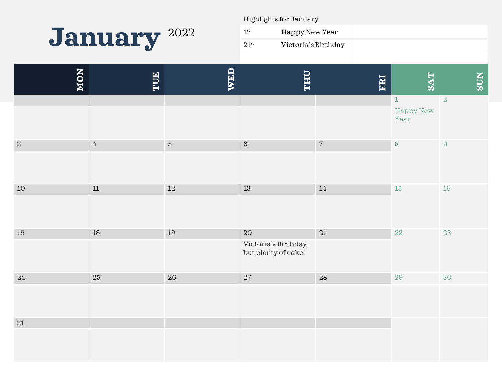

Highlights for January

| $1^{\rm st}$  | Happy New Year      |  |
|---------------|---------------------|--|
| $21^{\rm st}$ | Victoria's Birthday |  |

| NON        | TUE            | WED        | <b>LHL</b>                                        | ERI        | <b>SAT</b>                 | <b>SUN</b>       |
|------------|----------------|------------|---------------------------------------------------|------------|----------------------------|------------------|
|            |                |            |                                                   |            | $1\,$<br>Happy New<br>Year | $\overline{2}$   |
| $\sqrt{3}$ | $\overline{4}$ | $\sqrt{5}$ | $\,6\,$                                           | $\sqrt{7}$ | 8                          | $\boldsymbol{9}$ |
| 10         | $11\,$         | $12\,$     | 13                                                | $14\,$     | 15                         | $16\,$           |
| $19\,$     | $18\,$         | $19\,$     | 20<br>Victoria's Birthday,<br>but plenty of cake! | $21\,$     | $22\,$                     | 23               |
| $24\,$     | $25\,$         | $26\,$     | $27\,$                                            | $28\,$     | $29\,$                     | 30               |
| 31         |                |            |                                                   |            |                            |                  |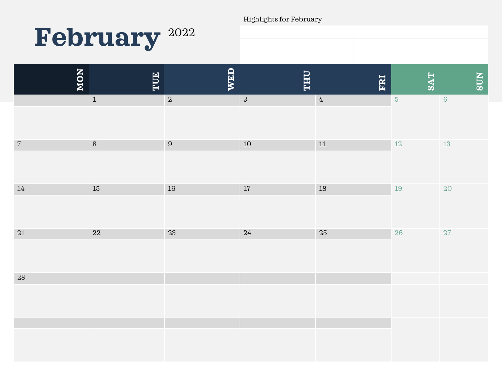Highlights for February

## **February** <sup>2022</sup>

| NON        | TUE         | <b>WED</b>     | <b>UHL</b> | ERI              | <b>SAT</b> | SUN        |
|------------|-------------|----------------|------------|------------------|------------|------------|
|            | $\mathbf 1$ | $\overline{2}$ | $\sqrt{3}$ | $\ensuremath{4}$ | $\sqrt{5}$ | $\sqrt{6}$ |
|            |             |                |            |                  |            |            |
| $\sqrt{7}$ | $\,8\,$     | $\overline{9}$ | $10\,$     | $11\,$           | $12\,$     | $13\,$     |
|            |             |                |            |                  |            |            |
| $14\,$     | $15\,$      | $16\,$         | $17\,$     | $18\,$           | 19         | $20\,$     |
|            |             |                |            |                  |            |            |
| $21\,$     | $22\,$      | $23\,$         | $24\,$     | $25\,$           | $26\,$     | 27         |
|            |             |                |            |                  |            |            |
| $28\,$     |             |                |            |                  |            |            |
|            |             |                |            |                  |            |            |
|            |             |                |            |                  |            |            |
|            |             |                |            |                  |            |            |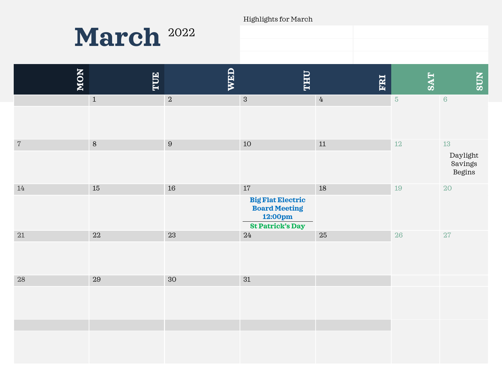Highlights for March



| <b>NON</b> | TUE         | <b>WED</b> | <b><i><u>OHLL</u></i></b>                                                                        | ERI         | <b>SAT</b> | <b>NOS</b>                              |
|------------|-------------|------------|--------------------------------------------------------------------------------------------------|-------------|------------|-----------------------------------------|
|            | $1\,$       | $\sqrt{2}$ | $\sqrt{3}$                                                                                       | $\mathbf 4$ | $\sqrt{5}$ | $\,6\,$                                 |
| $\,7$      | $\, 8$      | $\,9$      | $10\,$                                                                                           | $11\,$      | $12\,$     | $13\,$<br>Daylight<br>Savings<br>Begins |
| $14\,$     | $15\,$      | $16\,$     | $17\,$<br><b>Big Flat Electric</b><br><b>Board Meeting</b><br>12:00pm<br><b>St Patrick's Day</b> | $18\,$      | 19         | 20                                      |
| 21         | 22          | 23         | 24                                                                                               | $25\,$      | 26         | $27\,$                                  |
| 28         | $\sqrt{29}$ | 30         | 31                                                                                               |             |            |                                         |
|            |             |            |                                                                                                  |             |            |                                         |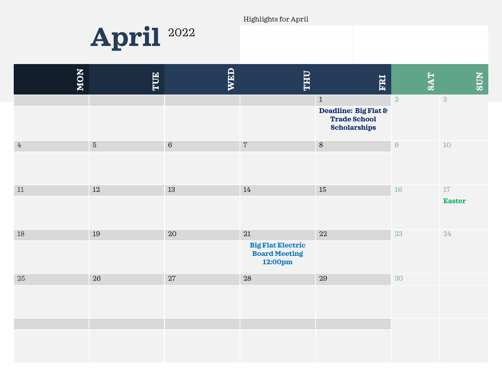Highlights for April



| NON                       | TUE        | <b>WED</b> | <b><i><u><b>OHT</b></u></i></b>                                       | ERI                                                                                | <b>SAT</b>       | <b>SUN</b>              |
|---------------------------|------------|------------|-----------------------------------------------------------------------|------------------------------------------------------------------------------------|------------------|-------------------------|
|                           |            |            |                                                                       | $\mathbf{1}$<br>Deadline: Big Flat &<br><b>Trade School</b><br><b>Scholarships</b> | $\overline{2}$   | 3                       |
| $\ensuremath{\mathbf{4}}$ | $\sqrt{5}$ | $\sqrt{6}$ | $\sqrt{7}$                                                            | $\, 8$                                                                             | $\boldsymbol{9}$ | $10$                    |
| $11\,$                    | $12\,$     | $13\,$     | 14                                                                    | 15                                                                                 | $16\,$           | $17\,$<br><b>Easter</b> |
| 18                        | 19         | 20         | $21\,$<br><b>Big Flat Electric</b><br><b>Board Meeting</b><br>12:00pm | 22                                                                                 | 23               | 24                      |
| $25\,$                    | 26         | 27         | 28                                                                    | 29                                                                                 | 30               |                         |
|                           |            |            |                                                                       |                                                                                    |                  |                         |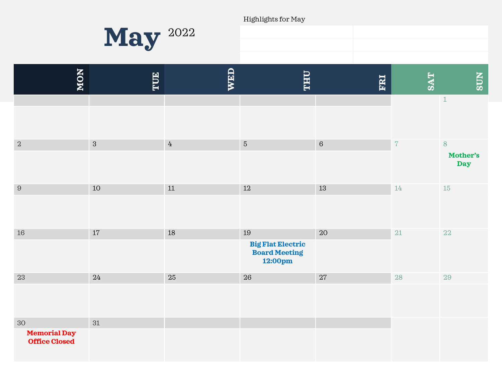Highlights for May



| NON                                               | TUE        | <b>WED</b> | <b><i><u><b>OHL</b></u></i></b>                                   | ERI     | <b>SAT</b> | <b>SUN</b>                      |
|---------------------------------------------------|------------|------------|-------------------------------------------------------------------|---------|------------|---------------------------------|
|                                                   |            |            |                                                                   |         |            | $\,$ 1                          |
| $\overline{2}$                                    | $\sqrt{3}$ | $\rm 4$    | $\mathbf 5$                                                       | $\,6\,$ | $\sqrt{7}$ | $8\,$<br>Mother's<br><b>Day</b> |
| $\boldsymbol{9}$                                  | 10         | $11\,$     | $12\,$                                                            | 13      | 14         | $15\,$                          |
| 16                                                | 17         | $18\,$     | 19<br><b>Big Flat Electric</b><br><b>Board Meeting</b><br>12:00pm | 20      | 21         | 22                              |
| 23                                                | $24\,$     | $25\,$     | $26\,$                                                            | $27\,$  | $28\,$     | 29                              |
| 30<br><b>Memorial Day</b><br><b>Office Closed</b> | 31         |            |                                                                   |         |            |                                 |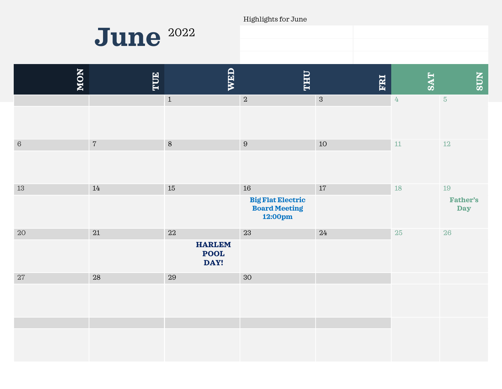Highlights for June



| NON     | TUE            | <b>WED</b>                           | <b>LHL</b>                                                  | ERI        | <b>SAT</b>       | <b>SUN</b>                    |
|---------|----------------|--------------------------------------|-------------------------------------------------------------|------------|------------------|-------------------------------|
|         |                | $\mathbf 1$                          | $\sqrt{2}$                                                  | $\sqrt{3}$ | $\ensuremath{4}$ | $\overline{5}$                |
|         |                |                                      |                                                             |            |                  |                               |
| $\,6\,$ | $\overline{7}$ | $\,8\,$                              | $\boldsymbol{9}$                                            | 10         | 11               | $12\,$                        |
|         |                |                                      |                                                             |            |                  |                               |
| 13      | 14             | $15\,$                               | 16                                                          | $17\,$     | 18               | 19                            |
|         |                |                                      | <b>Big Flat Electric</b><br><b>Board Meeting</b><br>12:00pm |            |                  | <b>Father's</b><br><b>Day</b> |
| $20\,$  | 21             | $22\,$                               | 23                                                          | 24         | $25\,$           | 26                            |
|         |                | <b>HARLEM</b><br><b>POOL</b><br>DAY! |                                                             |            |                  |                               |
| $27\,$  | 28             | 29                                   | 30                                                          |            |                  |                               |
|         |                |                                      |                                                             |            |                  |                               |
|         |                |                                      |                                                             |            |                  |                               |
|         |                |                                      |                                                             |            |                  |                               |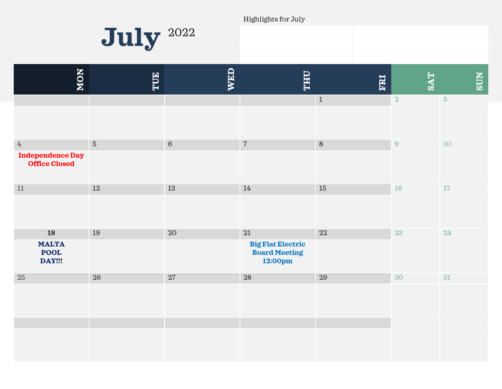Highlights for July



| NON                                                                 | TUE        | WED     | <b><i><u><b>OHL</b></u></i></b>                                       | ERI         | <b>TAS</b>       | <b>SUN</b>     |
|---------------------------------------------------------------------|------------|---------|-----------------------------------------------------------------------|-------------|------------------|----------------|
|                                                                     |            |         |                                                                       | $\,1\,$     | $\sqrt{2}$       | $\overline{3}$ |
| $\ensuremath{4}$<br><b>Independence Day</b><br><b>Office Closed</b> | $\sqrt{5}$ | $\,6\,$ | $\sqrt{7}$                                                            | $\, 8$      | $\boldsymbol{9}$ | $10$           |
| 11                                                                  | $12\,$     | 13      | 14                                                                    | 15          | 16               | 17             |
| <b>18</b><br><b>MALTA</b><br><b>POOL</b><br>DAY!!!                  | 19         | $20\,$  | $21\,$<br><b>Big Flat Electric</b><br><b>Board Meeting</b><br>12:00pm | $22\,$      | 23               | 24             |
| 25                                                                  | 26         | 27      | $\sqrt{28}$                                                           | $\sqrt{29}$ | 30               | 31             |
|                                                                     |            |         |                                                                       |             |                  |                |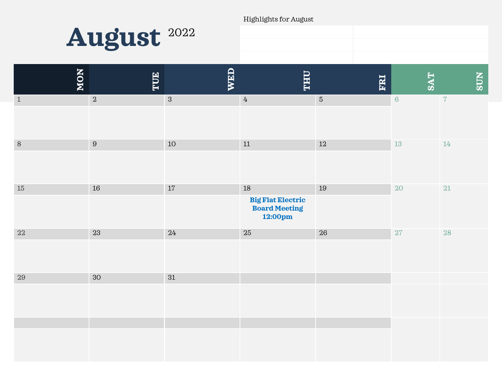Highlights for August



| NON         | TUE            | <b>WED</b> | <b><i><u><b>OHL</b></u></i></b>                                 | ERI        | <b>SAT</b> | <b>SUN</b>     |
|-------------|----------------|------------|-----------------------------------------------------------------|------------|------------|----------------|
| $\mathbf 1$ | $\overline{2}$ | $\sqrt{3}$ | $\ensuremath{4}$                                                | $\sqrt{5}$ | $\,6\,$    | $\overline{7}$ |
| $\, 8$      | 9              | 10         | $11\,$                                                          | $12\,$     | 13         | $14\,$         |
| $15\,$      | 16             | 17         | $18\,$<br><b>Big Flat Electric<br/>Board Meeting</b><br>12:00pm | 19         | $20\,$     | $21\,$         |
| $22\,$      | $23\,$         | $24\,$     | $25\,$                                                          | $26\,$     | 27         | 28             |
| $29\,$      | $30\,$         | $31\,$     |                                                                 |            |            |                |
|             |                |            |                                                                 |            |            |                |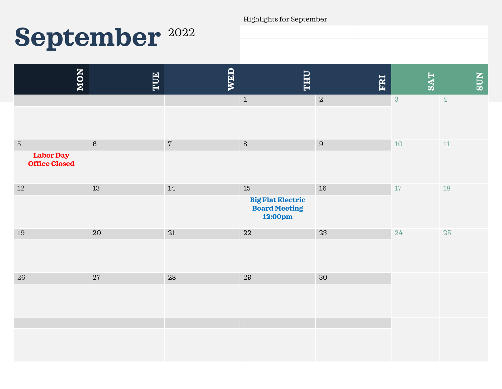# September<sup>2022</sup>

Highlights for September

| NON                                                    | TUE        | WED        | <b>THU</b>                                                      | FRI        | <b>SAT</b>     | <b>SUN</b>    |
|--------------------------------------------------------|------------|------------|-----------------------------------------------------------------|------------|----------------|---------------|
|                                                        |            |            | $1\,$                                                           | $\sqrt{2}$ | $\overline{3}$ | $\frac{1}{4}$ |
| $\sqrt{5}$<br><b>Labor Day</b><br><b>Office Closed</b> | $\sqrt{6}$ | $\sqrt{7}$ | $\,8\,$                                                         | $\, 9$     | 10             | $11\,$        |
| $12\,$                                                 | 13         | 14         | $15\,$<br><b>Big Flat Electric<br/>Board Meeting</b><br>12:00pm | 16         | 17             | <b>18</b>     |
| 19                                                     | 20         | $21\,$     | $22\,$                                                          | 23         | 24             | 25            |
| $26\,$                                                 | $27\,$     | 28         | 29                                                              | $30\,$     |                |               |
|                                                        |            |            |                                                                 |            |                |               |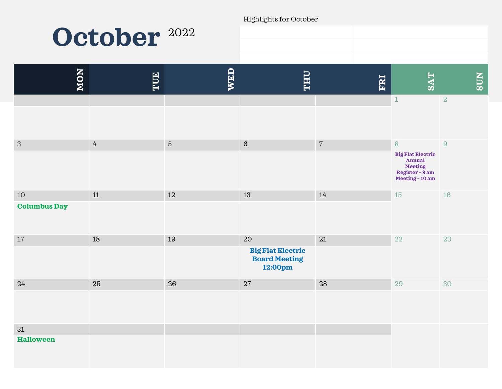Highlights for October

### **October** <sup>2022</sup>

| NON                           | TUE            | <b>WED</b> | <b>THU</b>                                                        | ERI        | <b>TAS</b>                                                                                              | <b>NIOS</b>    |
|-------------------------------|----------------|------------|-------------------------------------------------------------------|------------|---------------------------------------------------------------------------------------------------------|----------------|
|                               |                |            |                                                                   |            | $\mathbf 1$                                                                                             | $\overline{2}$ |
| $\sqrt{3}$                    | $\overline{4}$ | $\sqrt{5}$ | $\,6\,$                                                           | $\sqrt{7}$ | $\,8\,$<br><b>Big Flat Electric</b><br><b>Annual</b><br>Meeting<br>Register - 9 am<br>Meeting - $10$ am | $\, 9$         |
| $10\,$<br><b>Columbus Day</b> | $11\,$         | 12         | $13\,$                                                            | 14         | $15\,$                                                                                                  | 16             |
| $17$                          | 18             | 19         | 20<br><b>Big Flat Electric</b><br><b>Board Meeting</b><br>12:00pm | $21\,$     | 22                                                                                                      | 23             |
| 24                            | 25             | 26         | $27\,$                                                            | $28\,$     | $29\,$                                                                                                  | 30             |
| 31<br><b>Halloween</b>        |                |            |                                                                   |            |                                                                                                         |                |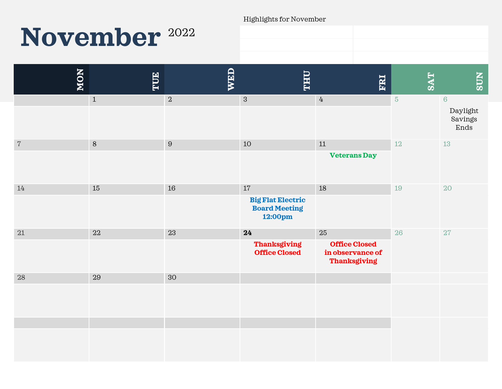#### Highlights for November

### November<sup>2022</sup>

| NON        | E       | WED            | <b>LHL</b>                                                        | ERI                                                                   | <b>TAS</b>     | <b>SUN</b>                                    |
|------------|---------|----------------|-------------------------------------------------------------------|-----------------------------------------------------------------------|----------------|-----------------------------------------------|
|            | $\,1\,$ | $\overline{2}$ | $\mathbf{3}$                                                      | $\overline{4}$                                                        | $\overline{5}$ | $6\phantom{a}$<br>Daylight<br>Savings<br>Ends |
| $\sqrt{ }$ | $\,8\,$ | $\, 9$         | $10$                                                              | $11\,$<br><b>Veterans Day</b>                                         | $12\,$         | $13\,$                                        |
| 14         | $15\,$  | 16             | 17<br><b>Big Flat Electric</b><br><b>Board Meeting</b><br>12:00pm | 18                                                                    | 19             | 20                                            |
| $21\,$     | 22      | $23\,$         | 24<br><b>Thanksgiving</b><br><b>Office Closed</b>                 | 25<br><b>Office Closed</b><br>in observance of<br><b>Thanksgiving</b> | 26             | $27\,$                                        |
| 28         | 29      | 30             |                                                                   |                                                                       |                |                                               |
|            |         |                |                                                                   |                                                                       |                |                                               |